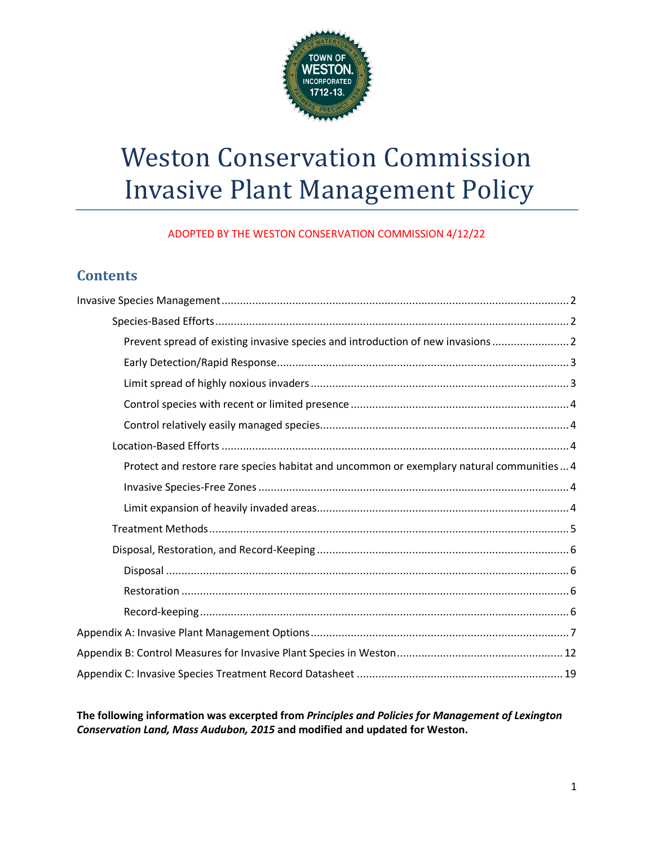

# Weston Conservation Commission Invasive Plant Management Policy

ADOPTED BY THE WESTON CONSERVATION COMMISSION 4/12/22

## **Contents**

| Prevent spread of existing invasive species and introduction of new invasions            |
|------------------------------------------------------------------------------------------|
|                                                                                          |
|                                                                                          |
|                                                                                          |
|                                                                                          |
|                                                                                          |
| Protect and restore rare species habitat and uncommon or exemplary natural communities 4 |
|                                                                                          |
|                                                                                          |
|                                                                                          |
|                                                                                          |
|                                                                                          |
|                                                                                          |
|                                                                                          |
|                                                                                          |
|                                                                                          |
|                                                                                          |

**The following information was excerpted from** *Principles and Policies for Management of Lexington Conservation Land, Mass Audubon, 2015* **and modified and updated for Weston.**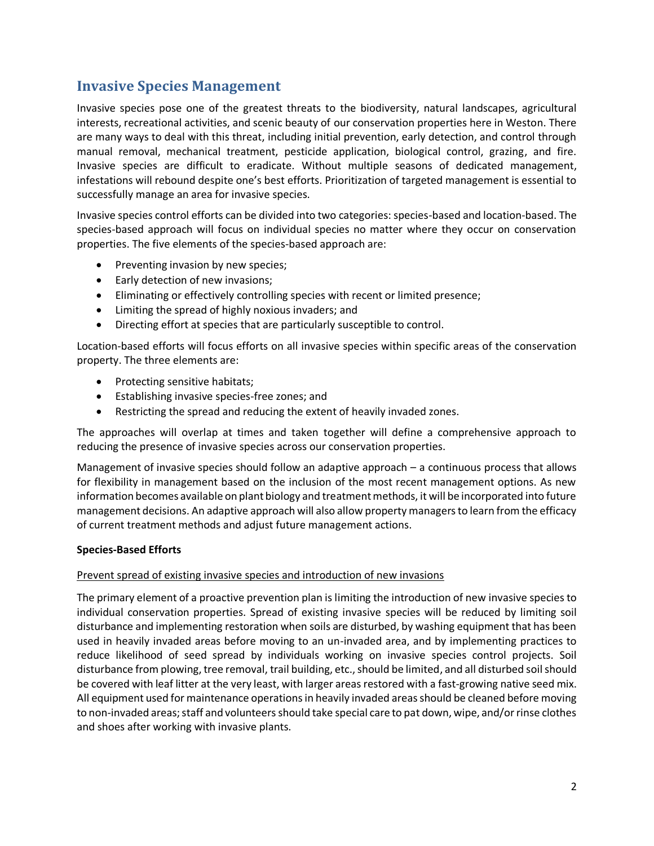### <span id="page-1-0"></span>**Invasive Species Management**

Invasive species pose one of the greatest threats to the biodiversity, natural landscapes, agricultural interests, recreational activities, and scenic beauty of our conservation properties here in Weston. There are many ways to deal with this threat, including initial prevention, early detection, and control through manual removal, mechanical treatment, pesticide application, biological control, grazing, and fire. Invasive species are difficult to eradicate. Without multiple seasons of dedicated management, infestations will rebound despite one's best efforts. Prioritization of targeted management is essential to successfully manage an area for invasive species.

Invasive species control efforts can be divided into two categories: species-based and location-based. The species-based approach will focus on individual species no matter where they occur on conservation properties. The five elements of the species-based approach are:

- Preventing invasion by new species;
- Early detection of new invasions;
- Eliminating or effectively controlling species with recent or limited presence;
- Limiting the spread of highly noxious invaders; and
- Directing effort at species that are particularly susceptible to control.

Location-based efforts will focus efforts on all invasive species within specific areas of the conservation property. The three elements are:

- Protecting sensitive habitats;
- Establishing invasive species-free zones; and
- Restricting the spread and reducing the extent of heavily invaded zones.

The approaches will overlap at times and taken together will define a comprehensive approach to reducing the presence of invasive species across our conservation properties.

Management of invasive species should follow an adaptive approach – a continuous process that allows for flexibility in management based on the inclusion of the most recent management options. As new information becomes available on plant biology and treatment methods, it will be incorporated into future management decisions. An adaptive approach will also allow property managers to learn from the efficacy of current treatment methods and adjust future management actions.

#### <span id="page-1-1"></span>**Species-Based Efforts**

#### <span id="page-1-2"></span>Prevent spread of existing invasive species and introduction of new invasions

The primary element of a proactive prevention plan is limiting the introduction of new invasive species to individual conservation properties. Spread of existing invasive species will be reduced by limiting soil disturbance and implementing restoration when soils are disturbed, by washing equipment that has been used in heavily invaded areas before moving to an un-invaded area, and by implementing practices to reduce likelihood of seed spread by individuals working on invasive species control projects. Soil disturbance from plowing, tree removal, trail building, etc., should be limited, and all disturbed soil should be covered with leaf litter at the very least, with larger areas restored with a fast-growing native seed mix. All equipment used for maintenance operations in heavily invaded areas should be cleaned before moving to non-invaded areas; staff and volunteers should take special care to pat down, wipe, and/or rinse clothes and shoes after working with invasive plants.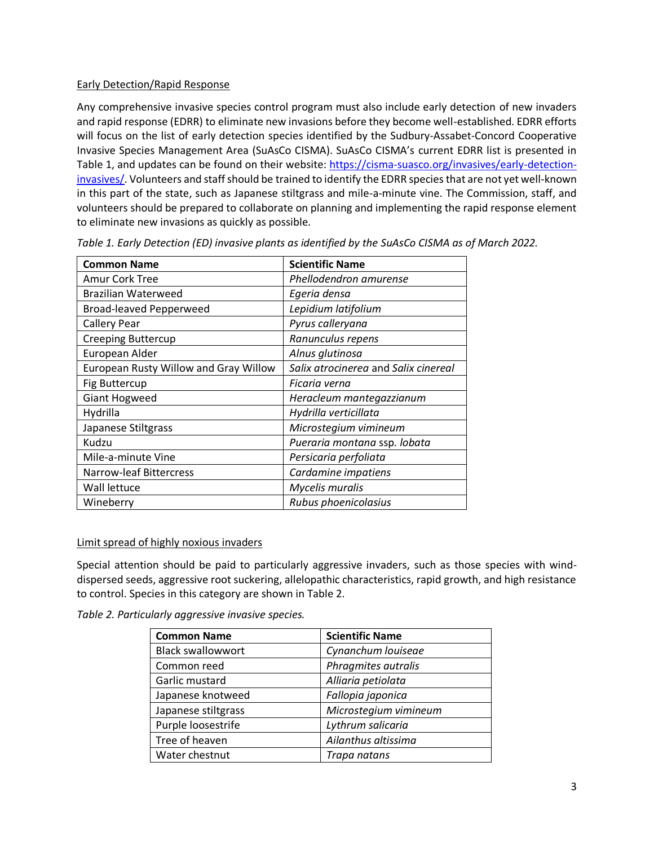#### <span id="page-2-0"></span>Early Detection/Rapid Response

Any comprehensive invasive species control program must also include early detection of new invaders and rapid response (EDRR) to eliminate new invasions before they become well-established. EDRR efforts will focus on the list of early detection species identified by the Sudbury-Assabet-Concord Cooperative Invasive Species Management Area (SuAsCo CISMA). SuAsCo CISMA's current EDRR list is presented in Table 1, and updates can be found on their website: [https://cisma-suasco.org/invasives/early-detection](https://cisma-suasco.org/invasives/early-detection-invasives/)[invasives/.](https://cisma-suasco.org/invasives/early-detection-invasives/) Volunteers and staff should be trained to identify the EDRR species that are not yet well-known in this part of the state, such as Japanese stiltgrass and mile-a-minute vine. The Commission, staff, and volunteers should be prepared to collaborate on planning and implementing the rapid response element to eliminate new invasions as quickly as possible.

| <b>Common Name</b>                    | <b>Scientific Name</b>               |
|---------------------------------------|--------------------------------------|
| <b>Amur Cork Tree</b>                 | Phellodendron amurense               |
| <b>Brazilian Waterweed</b>            | Egeria densa                         |
| <b>Broad-leaved Pepperweed</b>        | Lepidium latifolium                  |
| <b>Callery Pear</b>                   | Pyrus calleryana                     |
| <b>Creeping Buttercup</b>             | Ranunculus repens                    |
| European Alder                        | Alnus glutinosa                      |
| European Rusty Willow and Gray Willow | Salix atrocinerea and Salix cinereal |
| <b>Fig Buttercup</b>                  | Ficaria verna                        |
| <b>Giant Hogweed</b>                  | Heracleum mantegazzianum             |
| Hydrilla                              | Hydrilla verticillata                |
| Japanese Stiltgrass                   | Microstegium vimineum                |
| Kudzu                                 | Pueraria montana ssp. lobata         |
| Mile-a-minute Vine                    | Persicaria perfoliata                |
| Narrow-leaf Bittercress               | Cardamine impatiens                  |
| Wall lettuce                          | Mycelis muralis                      |
| Wineberry                             | Rubus phoenicolasius                 |

*Table 1. Early Detection (ED) invasive plants as identified by the SuAsCo CISMA as of March 2022.*

#### <span id="page-2-1"></span>Limit spread of highly noxious invaders

Special attention should be paid to particularly aggressive invaders, such as those species with winddispersed seeds, aggressive root suckering, allelopathic characteristics, rapid growth, and high resistance to control. Species in this category are shown in Table 2.

*Table 2. Particularly aggressive invasive species.*

| <b>Common Name</b>       | <b>Scientific Name</b> |
|--------------------------|------------------------|
| <b>Black swallowwort</b> | Cynanchum louiseae     |
| Common reed              | Phragmites autralis    |
| Garlic mustard           | Alliaria petiolata     |
| Japanese knotweed        | Fallopia japonica      |
| Japanese stiltgrass      | Microstegium vimineum  |
| Purple loosestrife       | Lythrum salicaria      |
| Tree of heaven           | Ailanthus altissima    |
| Water chestnut           | Trapa natans           |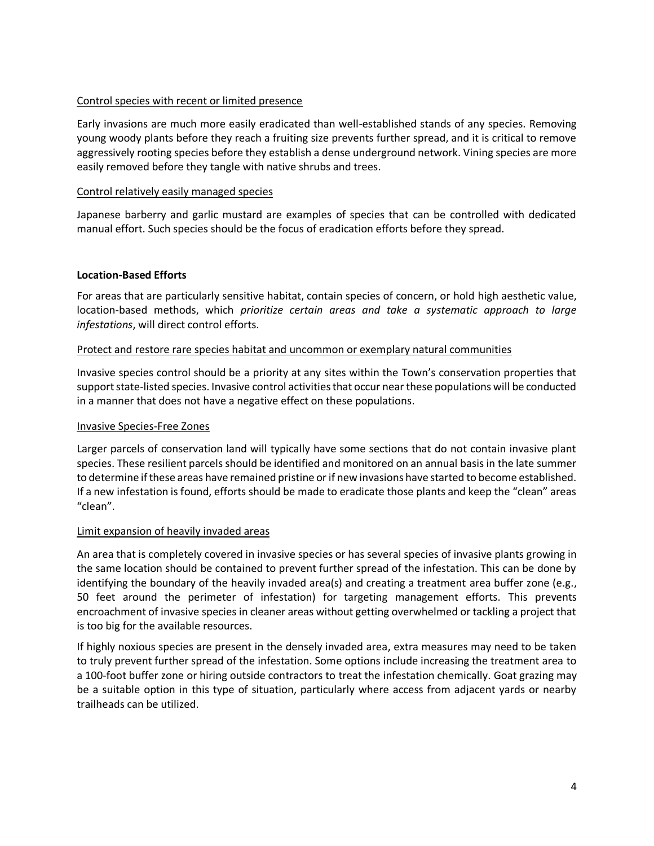#### <span id="page-3-0"></span>Control species with recent or limited presence

Early invasions are much more easily eradicated than well-established stands of any species. Removing young woody plants before they reach a fruiting size prevents further spread, and it is critical to remove aggressively rooting species before they establish a dense underground network. Vining species are more easily removed before they tangle with native shrubs and trees.

#### <span id="page-3-1"></span>Control relatively easily managed species

Japanese barberry and garlic mustard are examples of species that can be controlled with dedicated manual effort. Such species should be the focus of eradication efforts before they spread.

#### <span id="page-3-2"></span>**Location-Based Efforts**

For areas that are particularly sensitive habitat, contain species of concern, or hold high aesthetic value, location-based methods, which *prioritize certain areas and take a systematic approach to large infestations*, will direct control efforts.

#### <span id="page-3-3"></span>Protect and restore rare species habitat and uncommon or exemplary natural communities

Invasive species control should be a priority at any sites within the Town's conservation properties that support state-listed species. Invasive control activities that occur near these populations will be conducted in a manner that does not have a negative effect on these populations.

#### <span id="page-3-4"></span>Invasive Species-Free Zones

Larger parcels of conservation land will typically have some sections that do not contain invasive plant species. These resilient parcels should be identified and monitored on an annual basis in the late summer to determine if these areas have remained pristine or if new invasions have started to become established. If a new infestation is found, efforts should be made to eradicate those plants and keep the "clean" areas "clean".

#### <span id="page-3-5"></span>Limit expansion of heavily invaded areas

An area that is completely covered in invasive species or has several species of invasive plants growing in the same location should be contained to prevent further spread of the infestation. This can be done by identifying the boundary of the heavily invaded area(s) and creating a treatment area buffer zone (e.g., 50 feet around the perimeter of infestation) for targeting management efforts. This prevents encroachment of invasive species in cleaner areas without getting overwhelmed or tackling a project that is too big for the available resources.

If highly noxious species are present in the densely invaded area, extra measures may need to be taken to truly prevent further spread of the infestation. Some options include increasing the treatment area to a 100-foot buffer zone or hiring outside contractors to treat the infestation chemically. Goat grazing may be a suitable option in this type of situation, particularly where access from adjacent yards or nearby trailheads can be utilized.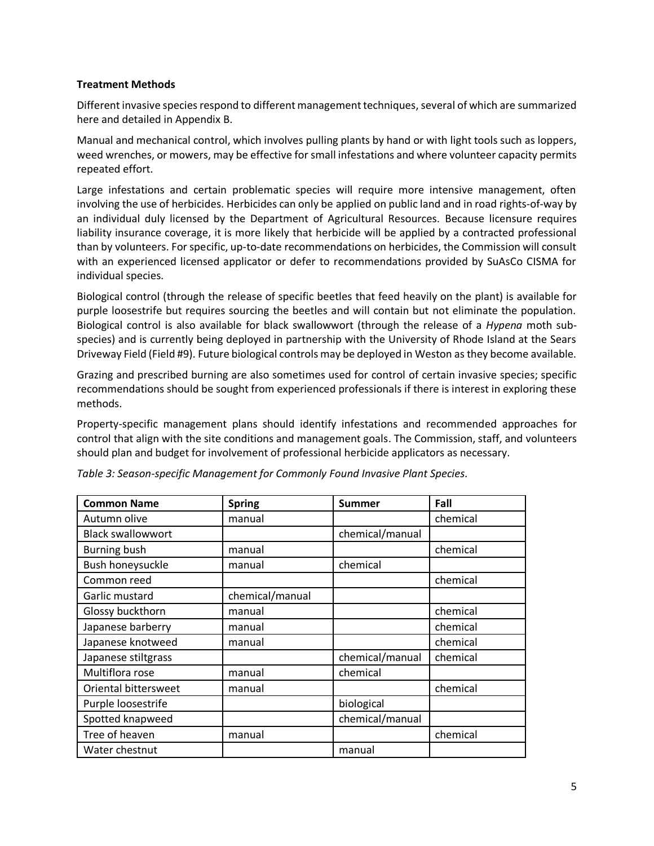#### <span id="page-4-0"></span>**Treatment Methods**

Different invasive species respond to different management techniques, several of which are summarized here and detailed in Appendix B.

Manual and mechanical control, which involves pulling plants by hand or with light tools such as loppers, weed wrenches, or mowers, may be effective for small infestations and where volunteer capacity permits repeated effort.

Large infestations and certain problematic species will require more intensive management, often involving the use of herbicides. Herbicides can only be applied on public land and in road rights-of-way by an individual duly licensed by the Department of Agricultural Resources. Because licensure requires liability insurance coverage, it is more likely that herbicide will be applied by a contracted professional than by volunteers. For specific, up-to-date recommendations on herbicides, the Commission will consult with an experienced licensed applicator or defer to recommendations provided by SuAsCo CISMA for individual species.

Biological control (through the release of specific beetles that feed heavily on the plant) is available for purple loosestrife but requires sourcing the beetles and will contain but not eliminate the population. Biological control is also available for black swallowwort (through the release of a *Hypena* moth subspecies) and is currently being deployed in partnership with the University of Rhode Island at the Sears Driveway Field (Field #9). Future biological controls may be deployed in Weston as they become available.

Grazing and prescribed burning are also sometimes used for control of certain invasive species; specific recommendations should be sought from experienced professionals if there is interest in exploring these methods.

Property-specific management plans should identify infestations and recommended approaches for control that align with the site conditions and management goals. The Commission, staff, and volunteers should plan and budget for involvement of professional herbicide applicators as necessary.

| <b>Common Name</b>       | <b>Spring</b>   | <b>Summer</b>   | Fall     |
|--------------------------|-----------------|-----------------|----------|
| Autumn olive             | manual          |                 | chemical |
| <b>Black swallowwort</b> |                 | chemical/manual |          |
| <b>Burning bush</b>      | manual          |                 | chemical |
| Bush honeysuckle         | manual          | chemical        |          |
| Common reed              |                 |                 | chemical |
| Garlic mustard           | chemical/manual |                 |          |
| Glossy buckthorn         | manual          |                 | chemical |
| Japanese barberry        | manual          |                 | chemical |
| Japanese knotweed        | manual          |                 | chemical |
| Japanese stiltgrass      |                 | chemical/manual | chemical |
| Multiflora rose          | manual          | chemical        |          |
| Oriental bittersweet     | manual          |                 | chemical |
| Purple loosestrife       |                 | biological      |          |
| Spotted knapweed         |                 | chemical/manual |          |
| Tree of heaven           | manual          |                 | chemical |
| Water chestnut           |                 | manual          |          |

|  | Table 3: Season-specific Management for Commonly Found Invasive Plant Species. |
|--|--------------------------------------------------------------------------------|
|--|--------------------------------------------------------------------------------|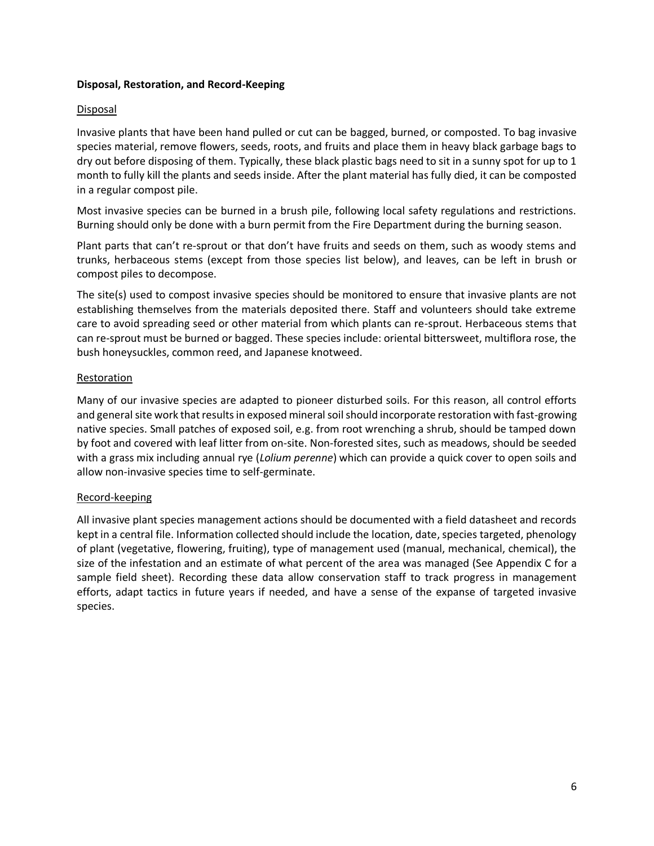#### <span id="page-5-0"></span>**Disposal, Restoration, and Record-Keeping**

#### <span id="page-5-1"></span>Disposal

Invasive plants that have been hand pulled or cut can be bagged, burned, or composted. To bag invasive species material, remove flowers, seeds, roots, and fruits and place them in heavy black garbage bags to dry out before disposing of them. Typically, these black plastic bags need to sit in a sunny spot for up to 1 month to fully kill the plants and seeds inside. After the plant material has fully died, it can be composted in a regular compost pile.

Most invasive species can be burned in a brush pile, following local safety regulations and restrictions. Burning should only be done with a burn permit from the Fire Department during the burning season.

Plant parts that can't re-sprout or that don't have fruits and seeds on them, such as woody stems and trunks, herbaceous stems (except from those species list below), and leaves, can be left in brush or compost piles to decompose.

The site(s) used to compost invasive species should be monitored to ensure that invasive plants are not establishing themselves from the materials deposited there. Staff and volunteers should take extreme care to avoid spreading seed or other material from which plants can re-sprout. Herbaceous stems that can re-sprout must be burned or bagged. These species include: oriental bittersweet, multiflora rose, the bush honeysuckles, common reed, and Japanese knotweed.

#### <span id="page-5-2"></span>**Restoration**

Many of our invasive species are adapted to pioneer disturbed soils. For this reason, all control efforts and general site work that results in exposed mineral soil should incorporate restoration with fast-growing native species. Small patches of exposed soil, e.g. from root wrenching a shrub, should be tamped down by foot and covered with leaf litter from on-site. Non-forested sites, such as meadows, should be seeded with a grass mix including annual rye (*Lolium perenne*) which can provide a quick cover to open soils and allow non-invasive species time to self-germinate.

#### <span id="page-5-3"></span>Record-keeping

All invasive plant species management actions should be documented with a field datasheet and records kept in a central file. Information collected should include the location, date, species targeted, phenology of plant (vegetative, flowering, fruiting), type of management used (manual, mechanical, chemical), the size of the infestation and an estimate of what percent of the area was managed (See Appendix C for a sample field sheet). Recording these data allow conservation staff to track progress in management efforts, adapt tactics in future years if needed, and have a sense of the expanse of targeted invasive species.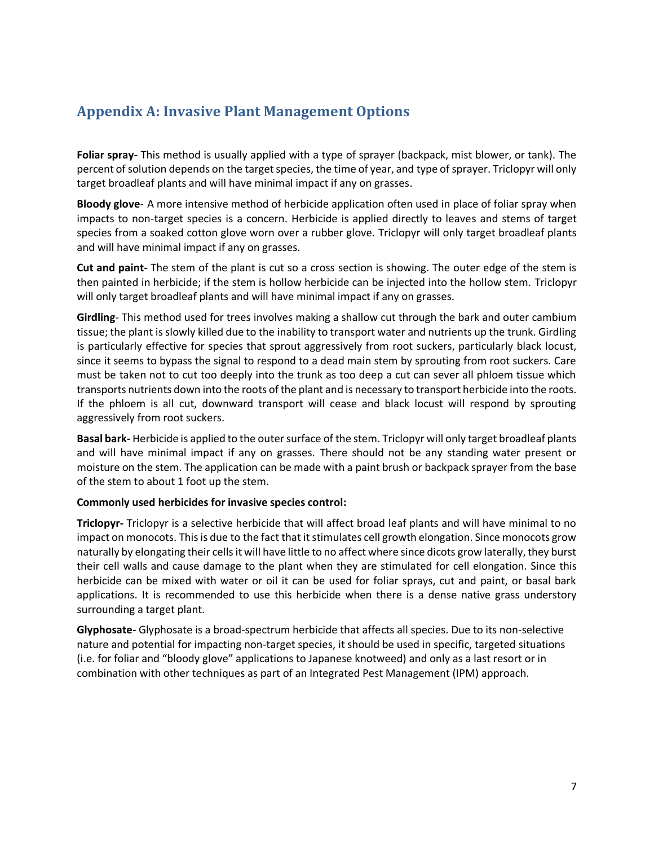## <span id="page-6-0"></span>**Appendix A: Invasive Plant Management Options**

**Foliar spray-** This method is usually applied with a type of sprayer (backpack, mist blower, or tank). The percent of solution depends on the target species, the time of year, and type of sprayer. Triclopyr will only target broadleaf plants and will have minimal impact if any on grasses.

**Bloody glove**- A more intensive method of herbicide application often used in place of foliar spray when impacts to non-target species is a concern. Herbicide is applied directly to leaves and stems of target species from a soaked cotton glove worn over a rubber glove. Triclopyr will only target broadleaf plants and will have minimal impact if any on grasses.

**Cut and paint-** The stem of the plant is cut so a cross section is showing. The outer edge of the stem is then painted in herbicide; if the stem is hollow herbicide can be injected into the hollow stem. Triclopyr will only target broadleaf plants and will have minimal impact if any on grasses.

**Girdling**- This method used for trees involves making a shallow cut through the bark and outer cambium tissue; the plant is slowly killed due to the inability to transport water and nutrients up the trunk. Girdling is particularly effective for species that sprout aggressively from root suckers, particularly black locust, since it seems to bypass the signal to respond to a dead main stem by sprouting from root suckers. Care must be taken not to cut too deeply into the trunk as too deep a cut can sever all phloem tissue which transports nutrients down into the roots of the plant and is necessary to transport herbicide into the roots. If the phloem is all cut, downward transport will cease and black locust will respond by sprouting aggressively from root suckers.

**Basal bark-** Herbicide is applied to the outer surface of the stem. Triclopyr will only target broadleaf plants and will have minimal impact if any on grasses. There should not be any standing water present or moisture on the stem. The application can be made with a paint brush or backpack sprayer from the base of the stem to about 1 foot up the stem.

#### **Commonly used herbicides for invasive species control:**

**Triclopyr-** Triclopyr is a selective herbicide that will affect broad leaf plants and will have minimal to no impact on monocots. This is due to the fact that it stimulates cell growth elongation. Since monocots grow naturally by elongating their cells it will have little to no affect where since dicots grow laterally, they burst their cell walls and cause damage to the plant when they are stimulated for cell elongation. Since this herbicide can be mixed with water or oil it can be used for foliar sprays, cut and paint, or basal bark applications. It is recommended to use this herbicide when there is a dense native grass understory surrounding a target plant.

**Glyphosate-** Glyphosate is a broad-spectrum herbicide that affects all species. Due to its non-selective nature and potential for impacting non-target species, it should be used in specific, targeted situations (i.e. for foliar and "bloody glove" applications to Japanese knotweed) and only as a last resort or in combination with other techniques as part of an Integrated Pest Management (IPM) approach.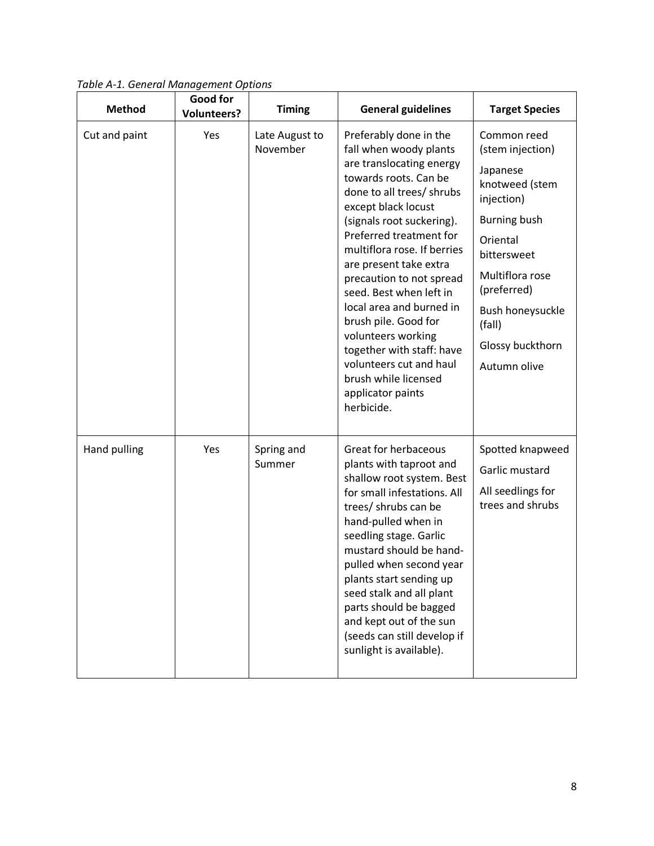|               | Good for           |                            |                                                                                                                                                                                                                                                                                                                                                                                                                                                                                                                                |                                                                                                                                                                                                                                          |
|---------------|--------------------|----------------------------|--------------------------------------------------------------------------------------------------------------------------------------------------------------------------------------------------------------------------------------------------------------------------------------------------------------------------------------------------------------------------------------------------------------------------------------------------------------------------------------------------------------------------------|------------------------------------------------------------------------------------------------------------------------------------------------------------------------------------------------------------------------------------------|
| <b>Method</b> | <b>Volunteers?</b> | <b>Timing</b>              | <b>General guidelines</b>                                                                                                                                                                                                                                                                                                                                                                                                                                                                                                      | <b>Target Species</b>                                                                                                                                                                                                                    |
| Cut and paint | Yes                | Late August to<br>November | Preferably done in the<br>fall when woody plants<br>are translocating energy<br>towards roots. Can be<br>done to all trees/ shrubs<br>except black locust<br>(signals root suckering).<br>Preferred treatment for<br>multiflora rose. If berries<br>are present take extra<br>precaution to not spread<br>seed. Best when left in<br>local area and burned in<br>brush pile. Good for<br>volunteers working<br>together with staff: have<br>volunteers cut and haul<br>brush while licensed<br>applicator paints<br>herbicide. | Common reed<br>(stem injection)<br>Japanese<br>knotweed (stem<br>injection)<br><b>Burning bush</b><br>Oriental<br>bittersweet<br>Multiflora rose<br>(preferred)<br><b>Bush honeysuckle</b><br>(fall)<br>Glossy buckthorn<br>Autumn olive |
| Hand pulling  | Yes                | Spring and<br>Summer       | Great for herbaceous<br>plants with taproot and<br>shallow root system. Best<br>for small infestations. All<br>trees/ shrubs can be<br>hand-pulled when in<br>seedling stage. Garlic<br>mustard should be hand-<br>pulled when second year<br>plants start sending up<br>seed stalk and all plant<br>parts should be bagged<br>and kept out of the sun<br>(seeds can still develop if<br>sunlight is available).                                                                                                               | Spotted knapweed<br>Garlic mustard<br>All seedlings for<br>trees and shrubs                                                                                                                                                              |

*Table A-1. General Management Options*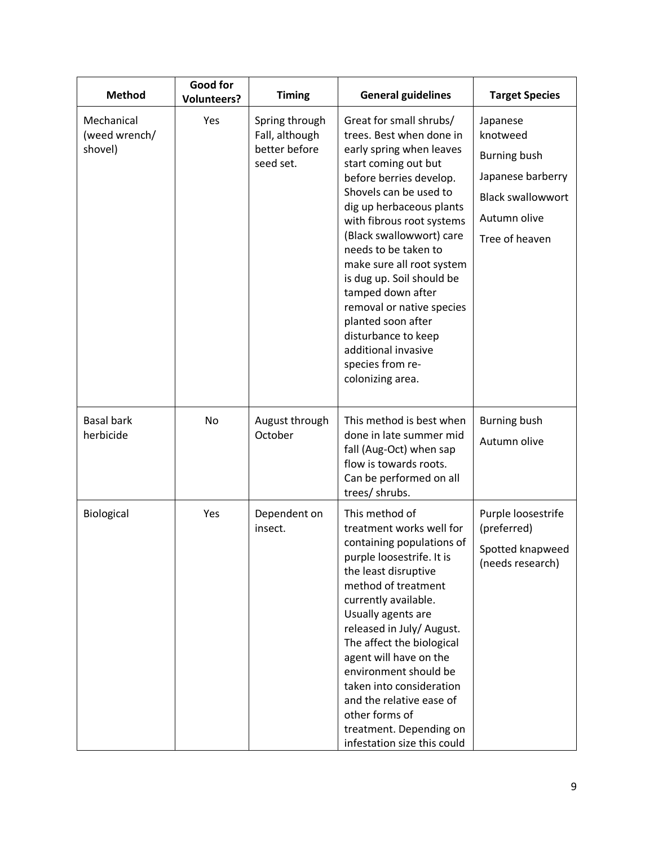| <b>Method</b>                          | <b>Good for</b><br><b>Volunteers?</b> | <b>Timing</b>                                                  | <b>General guidelines</b>                                                                                                                                                                                                                                                                                                                                                                                                                                                                         | <b>Target Species</b>                                                                                                          |
|----------------------------------------|---------------------------------------|----------------------------------------------------------------|---------------------------------------------------------------------------------------------------------------------------------------------------------------------------------------------------------------------------------------------------------------------------------------------------------------------------------------------------------------------------------------------------------------------------------------------------------------------------------------------------|--------------------------------------------------------------------------------------------------------------------------------|
| Mechanical<br>(weed wrench/<br>shovel) | Yes                                   | Spring through<br>Fall, although<br>better before<br>seed set. | Great for small shrubs/<br>trees. Best when done in<br>early spring when leaves<br>start coming out but<br>before berries develop.<br>Shovels can be used to<br>dig up herbaceous plants<br>with fibrous root systems<br>(Black swallowwort) care<br>needs to be taken to<br>make sure all root system<br>is dug up. Soil should be<br>tamped down after<br>removal or native species<br>planted soon after<br>disturbance to keep<br>additional invasive<br>species from re-<br>colonizing area. | Japanese<br>knotweed<br><b>Burning bush</b><br>Japanese barberry<br><b>Black swallowwort</b><br>Autumn olive<br>Tree of heaven |
| <b>Basal bark</b><br>herbicide         | No                                    | August through<br>October                                      | This method is best when<br>done in late summer mid<br>fall (Aug-Oct) when sap<br>flow is towards roots.<br>Can be performed on all<br>trees/ shrubs.                                                                                                                                                                                                                                                                                                                                             | <b>Burning bush</b><br>Autumn olive                                                                                            |
| Biological                             | Yes                                   | Dependent on<br>insect.                                        | This method of<br>treatment works well for<br>containing populations of<br>purple loosestrife. It is<br>the least disruptive<br>method of treatment<br>currently available.<br>Usually agents are<br>released in July/ August.<br>The affect the biological<br>agent will have on the<br>environment should be<br>taken into consideration<br>and the relative ease of<br>other forms of<br>treatment. Depending on<br>infestation size this could                                                | Purple loosestrife<br>(preferred)<br>Spotted knapweed<br>(needs research)                                                      |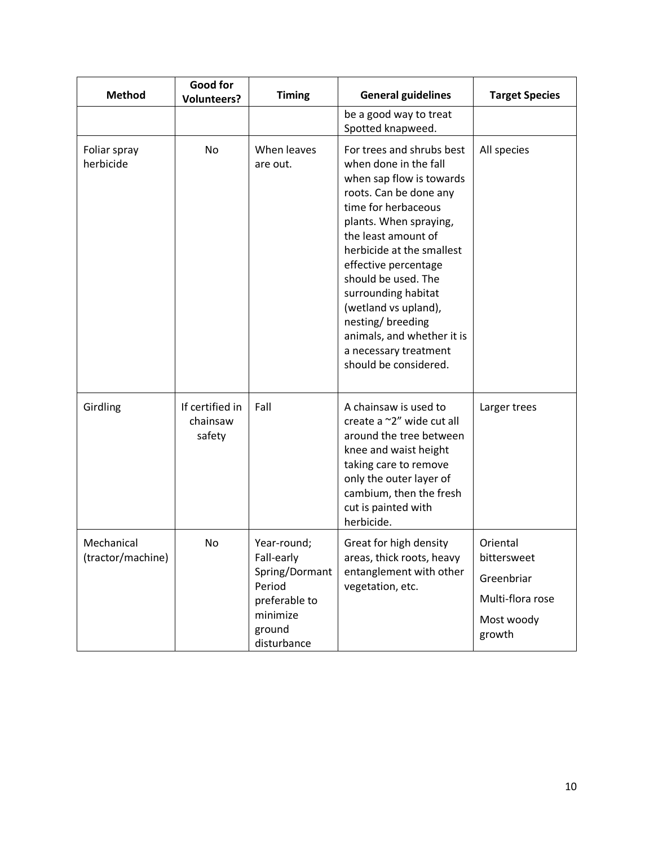| <b>Method</b>                   | Good for<br><b>Volunteers?</b>        | <b>Timing</b>                                                                                               | <b>General guidelines</b>                                                                                                                                                                                                                                                                                                                                                                                       | <b>Target Species</b>                                                             |
|---------------------------------|---------------------------------------|-------------------------------------------------------------------------------------------------------------|-----------------------------------------------------------------------------------------------------------------------------------------------------------------------------------------------------------------------------------------------------------------------------------------------------------------------------------------------------------------------------------------------------------------|-----------------------------------------------------------------------------------|
|                                 |                                       |                                                                                                             | be a good way to treat<br>Spotted knapweed.                                                                                                                                                                                                                                                                                                                                                                     |                                                                                   |
| Foliar spray<br>herbicide       | No                                    | When leaves<br>are out.                                                                                     | For trees and shrubs best<br>when done in the fall<br>when sap flow is towards<br>roots. Can be done any<br>time for herbaceous<br>plants. When spraying,<br>the least amount of<br>herbicide at the smallest<br>effective percentage<br>should be used. The<br>surrounding habitat<br>(wetland vs upland),<br>nesting/breeding<br>animals, and whether it is<br>a necessary treatment<br>should be considered. | All species                                                                       |
| Girdling                        | If certified in<br>chainsaw<br>safety | Fall                                                                                                        | A chainsaw is used to<br>create a ~2" wide cut all<br>around the tree between<br>knee and waist height<br>taking care to remove<br>only the outer layer of<br>cambium, then the fresh<br>cut is painted with<br>herbicide.                                                                                                                                                                                      | Larger trees                                                                      |
| Mechanical<br>(tractor/machine) | No                                    | Year-round;<br>Fall-early<br>Spring/Dormant<br>Period<br>preferable to<br>minimize<br>ground<br>disturbance | Great for high density<br>areas, thick roots, heavy<br>entanglement with other<br>vegetation, etc.                                                                                                                                                                                                                                                                                                              | Oriental<br>bittersweet<br>Greenbriar<br>Multi-flora rose<br>Most woody<br>growth |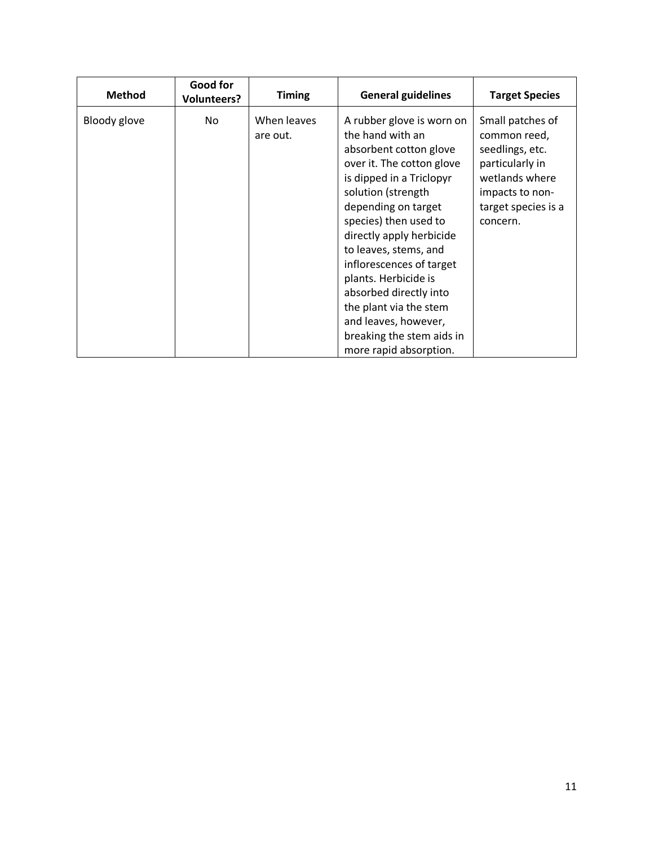| <b>Method</b> | Good for<br><b>Volunteers?</b> | <b>Timing</b>           | <b>General guidelines</b>                                                                                                                                                                                                                                                                                                                                                                                                                          | <b>Target Species</b>                                                                                                                          |
|---------------|--------------------------------|-------------------------|----------------------------------------------------------------------------------------------------------------------------------------------------------------------------------------------------------------------------------------------------------------------------------------------------------------------------------------------------------------------------------------------------------------------------------------------------|------------------------------------------------------------------------------------------------------------------------------------------------|
| Bloody glove  | No                             | When leaves<br>are out. | A rubber glove is worn on<br>the hand with an<br>absorbent cotton glove<br>over it. The cotton glove<br>is dipped in a Triclopyr<br>solution (strength<br>depending on target<br>species) then used to<br>directly apply herbicide<br>to leaves, stems, and<br>inflorescences of target<br>plants. Herbicide is<br>absorbed directly into<br>the plant via the stem<br>and leaves, however,<br>breaking the stem aids in<br>more rapid absorption. | Small patches of<br>common reed,<br>seedlings, etc.<br>particularly in<br>wetlands where<br>impacts to non-<br>target species is a<br>concern. |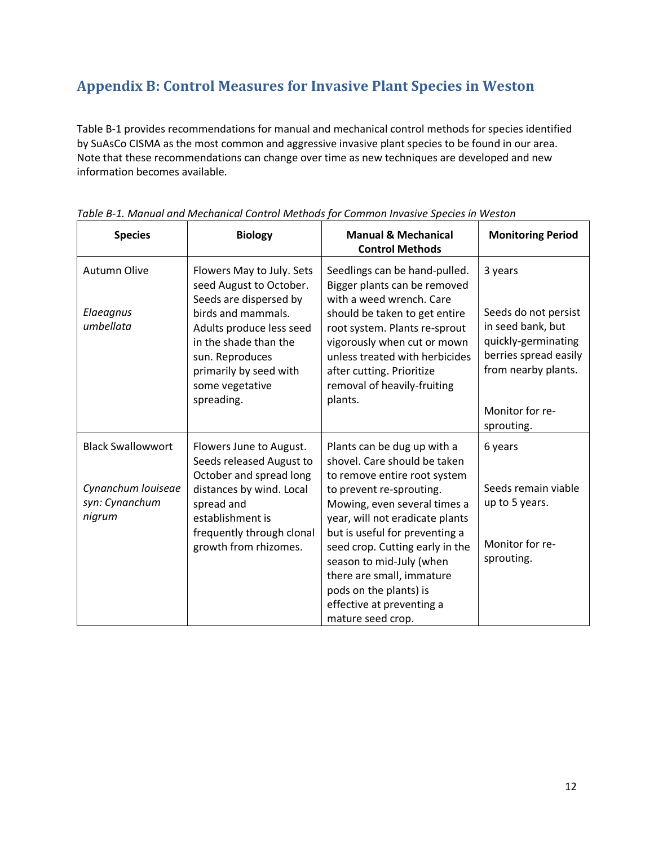## <span id="page-11-0"></span>**Appendix B: Control Measures for Invasive Plant Species in Weston**

Table B-1 provides recommendations for manual and mechanical control methods for species identified by SuAsCo CISMA as the most common and aggressive invasive plant species to be found in our area. Note that these recommendations can change over time as new techniques are developed and new information becomes available.

| <b>Species</b>                                                             | <b>Biology</b>                                                                                                                                                                                                                          | <b>Manual &amp; Mechanical</b><br><b>Control Methods</b>                                                                                                                                                                                                                                                                                                                                             | <b>Monitoring Period</b>                                                                                                                                     |
|----------------------------------------------------------------------------|-----------------------------------------------------------------------------------------------------------------------------------------------------------------------------------------------------------------------------------------|------------------------------------------------------------------------------------------------------------------------------------------------------------------------------------------------------------------------------------------------------------------------------------------------------------------------------------------------------------------------------------------------------|--------------------------------------------------------------------------------------------------------------------------------------------------------------|
| <b>Autumn Olive</b><br>Elaeagnus<br>umbellata                              | Flowers May to July. Sets<br>seed August to October.<br>Seeds are dispersed by<br>birds and mammals.<br>Adults produce less seed<br>in the shade than the<br>sun. Reproduces<br>primarily by seed with<br>some vegetative<br>spreading. | Seedlings can be hand-pulled.<br>Bigger plants can be removed<br>with a weed wrench. Care<br>should be taken to get entire<br>root system. Plants re-sprout<br>vigorously when cut or mown<br>unless treated with herbicides<br>after cutting. Prioritize<br>removal of heavily-fruiting<br>plants.                                                                                                  | 3 years<br>Seeds do not persist<br>in seed bank, but<br>quickly-germinating<br>berries spread easily<br>from nearby plants.<br>Monitor for re-<br>sprouting. |
| <b>Black Swallowwort</b><br>Cynanchum louiseae<br>syn: Cynanchum<br>nigrum | Flowers June to August.<br>Seeds released August to<br>October and spread long<br>distances by wind. Local<br>spread and<br>establishment is<br>frequently through clonal<br>growth from rhizomes.                                      | Plants can be dug up with a<br>shovel. Care should be taken<br>to remove entire root system<br>to prevent re-sprouting.<br>Mowing, even several times a<br>year, will not eradicate plants<br>but is useful for preventing a<br>seed crop. Cutting early in the<br>season to mid-July (when<br>there are small, immature<br>pods on the plants) is<br>effective at preventing a<br>mature seed crop. | 6 years<br>Seeds remain viable<br>up to 5 years.<br>Monitor for re-<br>sprouting.                                                                            |

*Table B-1. Manual and Mechanical Control Methods for Common Invasive Species in Weston*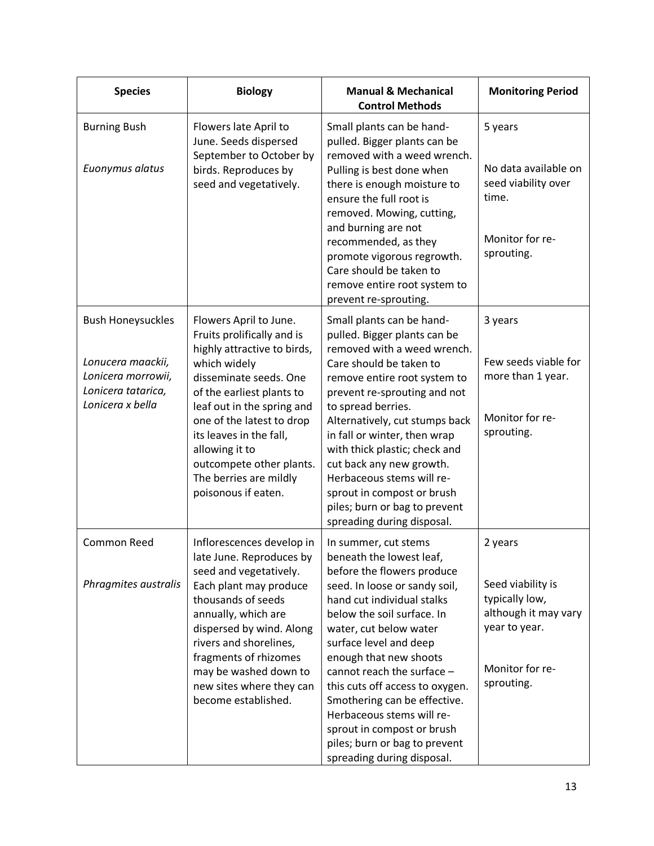| <b>Species</b>                                                | <b>Biology</b>                                                                                                                                                                                                                 | <b>Manual &amp; Mechanical</b><br><b>Control Methods</b>                                                                                                                                                                                                                                                                                                                                             | <b>Monitoring Period</b>                                                                                      |
|---------------------------------------------------------------|--------------------------------------------------------------------------------------------------------------------------------------------------------------------------------------------------------------------------------|------------------------------------------------------------------------------------------------------------------------------------------------------------------------------------------------------------------------------------------------------------------------------------------------------------------------------------------------------------------------------------------------------|---------------------------------------------------------------------------------------------------------------|
| <b>Burning Bush</b><br>Euonymus alatus                        | Flowers late April to<br>June. Seeds dispersed<br>September to October by<br>birds. Reproduces by<br>seed and vegetatively.                                                                                                    | Small plants can be hand-<br>pulled. Bigger plants can be<br>removed with a weed wrench.<br>Pulling is best done when<br>there is enough moisture to<br>ensure the full root is<br>removed. Mowing, cutting,<br>and burning are not<br>recommended, as they<br>promote vigorous regrowth.<br>Care should be taken to<br>remove entire root system to<br>prevent re-sprouting.                        | 5 years<br>No data available on<br>seed viability over<br>time.<br>Monitor for re-<br>sprouting.              |
| <b>Bush Honeysuckles</b>                                      | Flowers April to June.<br>Fruits prolifically and is                                                                                                                                                                           | Small plants can be hand-<br>pulled. Bigger plants can be                                                                                                                                                                                                                                                                                                                                            | 3 years                                                                                                       |
| Lonucera maackii,<br>Lonicera morrowii,<br>Lonicera tatarica, | highly attractive to birds,<br>which widely<br>disseminate seeds. One<br>of the earliest plants to                                                                                                                             | removed with a weed wrench.<br>Care should be taken to<br>remove entire root system to<br>prevent re-sprouting and not                                                                                                                                                                                                                                                                               | Few seeds viable for<br>more than 1 year.                                                                     |
| Lonicera x bella                                              | leaf out in the spring and<br>one of the latest to drop<br>its leaves in the fall,<br>allowing it to<br>outcompete other plants.<br>The berries are mildly<br>poisonous if eaten.                                              | to spread berries.<br>Alternatively, cut stumps back<br>in fall or winter, then wrap<br>with thick plastic; check and<br>cut back any new growth.<br>Herbaceous stems will re-<br>sprout in compost or brush<br>piles; burn or bag to prevent<br>spreading during disposal.                                                                                                                          | Monitor for re-<br>sprouting.                                                                                 |
| Common Reed                                                   | Inflorescences develop in<br>late June. Reproduces by<br>seed and vegetatively.                                                                                                                                                | In summer, cut stems<br>beneath the lowest leaf,<br>before the flowers produce                                                                                                                                                                                                                                                                                                                       | 2 years                                                                                                       |
| Phragmites australis                                          | Each plant may produce<br>thousands of seeds<br>annually, which are<br>dispersed by wind. Along<br>rivers and shorelines,<br>fragments of rhizomes<br>may be washed down to<br>new sites where they can<br>become established. | seed. In loose or sandy soil,<br>hand cut individual stalks<br>below the soil surface. In<br>water, cut below water<br>surface level and deep<br>enough that new shoots<br>cannot reach the surface $-$<br>this cuts off access to oxygen.<br>Smothering can be effective.<br>Herbaceous stems will re-<br>sprout in compost or brush<br>piles; burn or bag to prevent<br>spreading during disposal. | Seed viability is<br>typically low,<br>although it may vary<br>year to year.<br>Monitor for re-<br>sprouting. |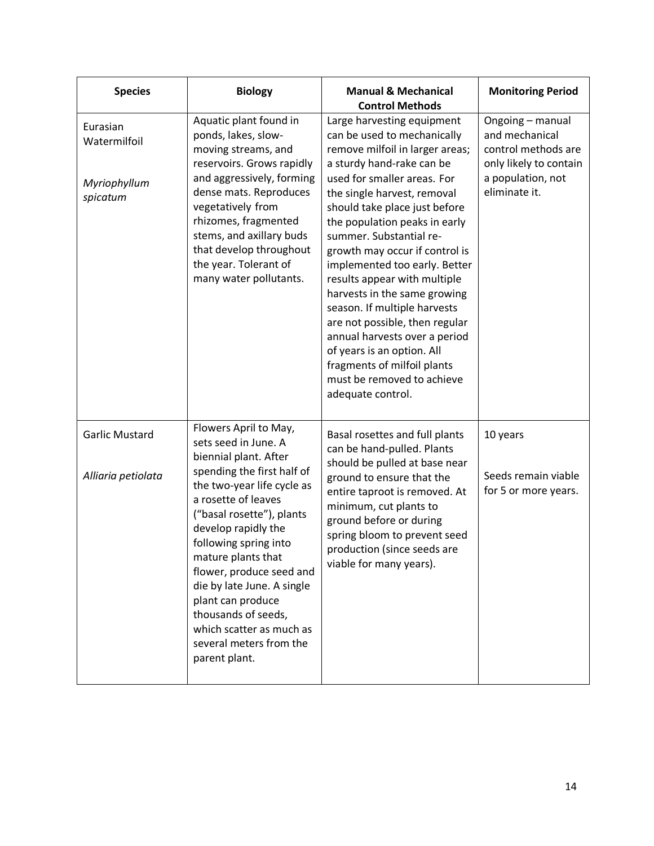| <b>Species</b>                                       | <b>Biology</b>                                                                                                                                                                                                                                                                                                                                                                                                                             | <b>Manual &amp; Mechanical</b><br><b>Control Methods</b>                                                                                                                                                                                                                                                                                                                                                                                                                                                                                                                                                                                   | <b>Monitoring Period</b>                                                                                                  |
|------------------------------------------------------|--------------------------------------------------------------------------------------------------------------------------------------------------------------------------------------------------------------------------------------------------------------------------------------------------------------------------------------------------------------------------------------------------------------------------------------------|--------------------------------------------------------------------------------------------------------------------------------------------------------------------------------------------------------------------------------------------------------------------------------------------------------------------------------------------------------------------------------------------------------------------------------------------------------------------------------------------------------------------------------------------------------------------------------------------------------------------------------------------|---------------------------------------------------------------------------------------------------------------------------|
| Eurasian<br>Watermilfoil<br>Myriophyllum<br>spicatum | Aquatic plant found in<br>ponds, lakes, slow-<br>moving streams, and<br>reservoirs. Grows rapidly<br>and aggressively, forming<br>dense mats. Reproduces<br>vegetatively from<br>rhizomes, fragmented<br>stems, and axillary buds<br>that develop throughout<br>the year. Tolerant of<br>many water pollutants.                                                                                                                            | Large harvesting equipment<br>can be used to mechanically<br>remove milfoil in larger areas;<br>a sturdy hand-rake can be<br>used for smaller areas. For<br>the single harvest, removal<br>should take place just before<br>the population peaks in early<br>summer. Substantial re-<br>growth may occur if control is<br>implemented too early. Better<br>results appear with multiple<br>harvests in the same growing<br>season. If multiple harvests<br>are not possible, then regular<br>annual harvests over a period<br>of years is an option. All<br>fragments of milfoil plants<br>must be removed to achieve<br>adequate control. | Ongoing - manual<br>and mechanical<br>control methods are<br>only likely to contain<br>a population, not<br>eliminate it. |
| <b>Garlic Mustard</b><br>Alliaria petiolata          | Flowers April to May,<br>sets seed in June. A<br>biennial plant. After<br>spending the first half of<br>the two-year life cycle as<br>a rosette of leaves<br>("basal rosette"), plants<br>develop rapidly the<br>following spring into<br>mature plants that<br>flower, produce seed and<br>die by late June. A single<br>plant can produce<br>thousands of seeds,<br>which scatter as much as<br>several meters from the<br>parent plant. | Basal rosettes and full plants<br>can be hand-pulled. Plants<br>should be pulled at base near<br>ground to ensure that the<br>entire taproot is removed. At<br>minimum, cut plants to<br>ground before or during<br>spring bloom to prevent seed<br>production (since seeds are<br>viable for many years).                                                                                                                                                                                                                                                                                                                                 | 10 years<br>Seeds remain viable<br>for 5 or more years.                                                                   |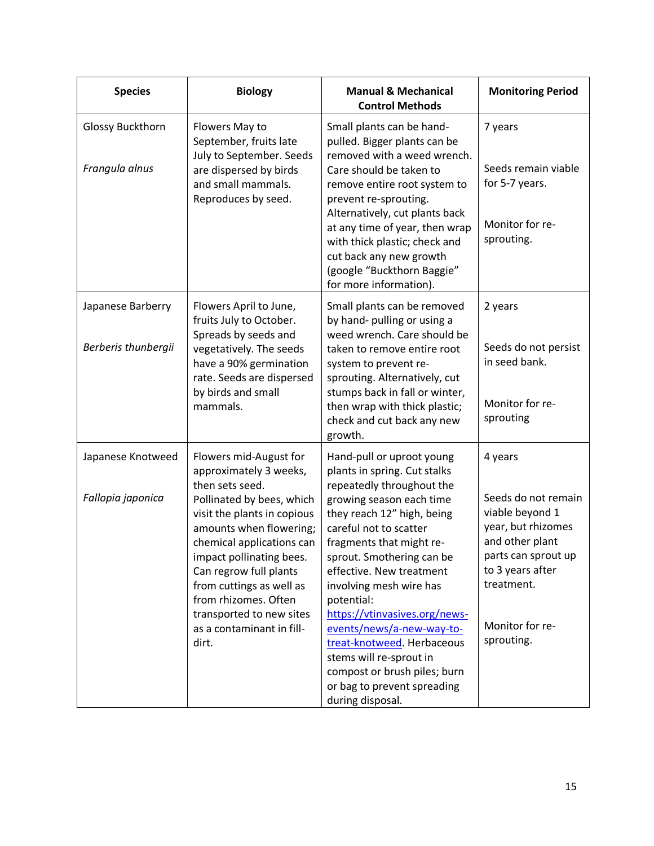| <b>Species</b>                            | <b>Biology</b>                                                                                                                                                                                                                                                                                                                                                      | <b>Manual &amp; Mechanical</b><br><b>Control Methods</b>                                                                                                                                                                                                                                                                                                                                                                                                                                                           | <b>Monitoring Period</b>                                                                                                                                                             |
|-------------------------------------------|---------------------------------------------------------------------------------------------------------------------------------------------------------------------------------------------------------------------------------------------------------------------------------------------------------------------------------------------------------------------|--------------------------------------------------------------------------------------------------------------------------------------------------------------------------------------------------------------------------------------------------------------------------------------------------------------------------------------------------------------------------------------------------------------------------------------------------------------------------------------------------------------------|--------------------------------------------------------------------------------------------------------------------------------------------------------------------------------------|
| <b>Glossy Buckthorn</b><br>Frangula alnus | Flowers May to<br>September, fruits late<br>July to September. Seeds<br>are dispersed by birds<br>and small mammals.<br>Reproduces by seed.                                                                                                                                                                                                                         | Small plants can be hand-<br>pulled. Bigger plants can be<br>removed with a weed wrench.<br>Care should be taken to<br>remove entire root system to<br>prevent re-sprouting.<br>Alternatively, cut plants back<br>at any time of year, then wrap<br>with thick plastic; check and<br>cut back any new growth<br>(google "Buckthorn Baggie"<br>for more information).                                                                                                                                               | 7 years<br>Seeds remain viable<br>for 5-7 years.<br>Monitor for re-<br>sprouting.                                                                                                    |
| Japanese Barberry<br>Berberis thunbergii  | Flowers April to June,<br>fruits July to October.<br>Spreads by seeds and<br>vegetatively. The seeds<br>have a 90% germination<br>rate. Seeds are dispersed<br>by birds and small<br>mammals.                                                                                                                                                                       | Small plants can be removed<br>by hand- pulling or using a<br>weed wrench. Care should be<br>taken to remove entire root<br>system to prevent re-<br>sprouting. Alternatively, cut<br>stumps back in fall or winter,<br>then wrap with thick plastic;<br>check and cut back any new<br>growth.                                                                                                                                                                                                                     | 2 years<br>Seeds do not persist<br>in seed bank.<br>Monitor for re-<br>sprouting                                                                                                     |
| Japanese Knotweed<br>Fallopia japonica    | Flowers mid-August for<br>approximately 3 weeks,<br>then sets seed.<br>Pollinated by bees, which<br>visit the plants in copious<br>amounts when flowering;<br>chemical applications can<br>impact pollinating bees.<br>Can regrow full plants<br>from cuttings as well as<br>from rhizomes. Often<br>transported to new sites<br>as a contaminant in fill-<br>dirt. | Hand-pull or uproot young<br>plants in spring. Cut stalks<br>repeatedly throughout the<br>growing season each time<br>they reach 12" high, being<br>careful not to scatter<br>fragments that might re-<br>sprout. Smothering can be<br>effective. New treatment<br>involving mesh wire has<br>potential:<br>https://vtinvasives.org/news-<br>events/news/a-new-way-to-<br>treat-knotweed. Herbaceous<br>stems will re-sprout in<br>compost or brush piles; burn<br>or bag to prevent spreading<br>during disposal. | 4 years<br>Seeds do not remain<br>viable beyond 1<br>year, but rhizomes<br>and other plant<br>parts can sprout up<br>to 3 years after<br>treatment.<br>Monitor for re-<br>sprouting. |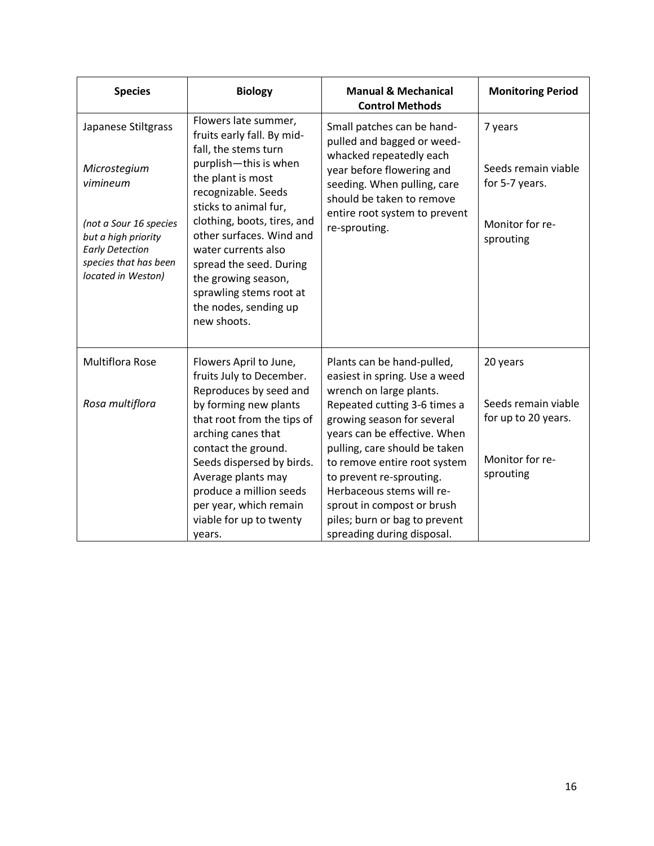| <b>Species</b>                                                                                                                                                            | <b>Biology</b>                                                                                                                                                                                                                                                                                                                                                                  | <b>Manual &amp; Mechanical</b><br><b>Control Methods</b>                                                                                                                                                                                                                                                                                                                                                    | <b>Monitoring Period</b>                                                               |
|---------------------------------------------------------------------------------------------------------------------------------------------------------------------------|---------------------------------------------------------------------------------------------------------------------------------------------------------------------------------------------------------------------------------------------------------------------------------------------------------------------------------------------------------------------------------|-------------------------------------------------------------------------------------------------------------------------------------------------------------------------------------------------------------------------------------------------------------------------------------------------------------------------------------------------------------------------------------------------------------|----------------------------------------------------------------------------------------|
| Japanese Stiltgrass<br>Microstegium<br>vimineum<br>(not a Sour 16 species<br>but a high priority<br><b>Early Detection</b><br>species that has been<br>located in Weston) | Flowers late summer,<br>fruits early fall. By mid-<br>fall, the stems turn<br>purplish-this is when<br>the plant is most<br>recognizable. Seeds<br>sticks to animal fur,<br>clothing, boots, tires, and<br>other surfaces. Wind and<br>water currents also<br>spread the seed. During<br>the growing season,<br>sprawling stems root at<br>the nodes, sending up<br>new shoots. | Small patches can be hand-<br>pulled and bagged or weed-<br>whacked repeatedly each<br>year before flowering and<br>seeding. When pulling, care<br>should be taken to remove<br>entire root system to prevent<br>re-sprouting.                                                                                                                                                                              | 7 years<br>Seeds remain viable<br>for 5-7 years.<br>Monitor for re-<br>sprouting       |
| <b>Multiflora Rose</b><br>Rosa multiflora                                                                                                                                 | Flowers April to June,<br>fruits July to December.<br>Reproduces by seed and<br>by forming new plants<br>that root from the tips of<br>arching canes that<br>contact the ground.<br>Seeds dispersed by birds.<br>Average plants may<br>produce a million seeds<br>per year, which remain<br>viable for up to twenty<br>years.                                                   | Plants can be hand-pulled,<br>easiest in spring. Use a weed<br>wrench on large plants.<br>Repeated cutting 3-6 times a<br>growing season for several<br>years can be effective. When<br>pulling, care should be taken<br>to remove entire root system<br>to prevent re-sprouting.<br>Herbaceous stems will re-<br>sprout in compost or brush<br>piles; burn or bag to prevent<br>spreading during disposal. | 20 years<br>Seeds remain viable<br>for up to 20 years.<br>Monitor for re-<br>sprouting |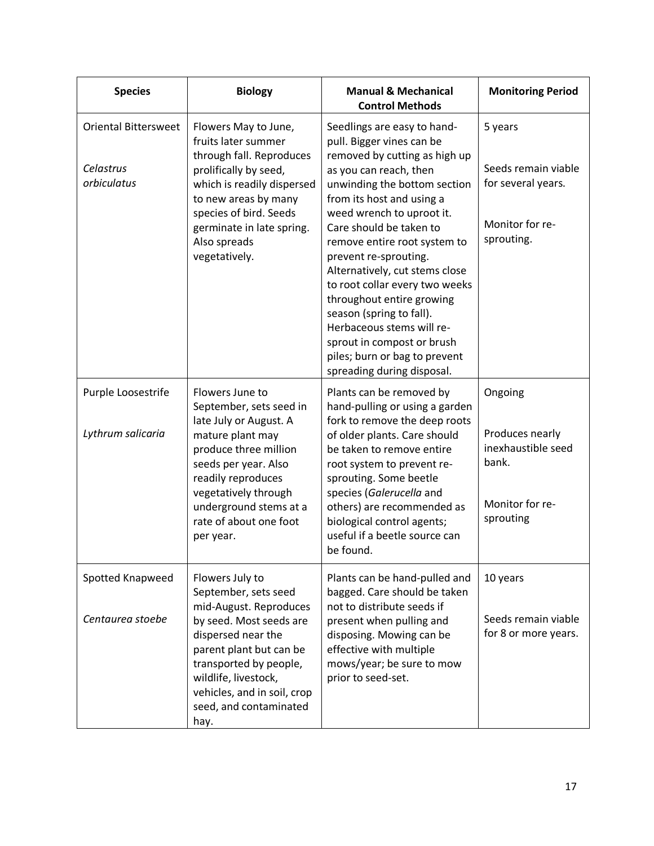| <b>Species</b>                                          | <b>Biology</b>                                                                                                                                                                                                                                                   | <b>Manual &amp; Mechanical</b><br><b>Control Methods</b>                                                                                                                                                                                                                                                                                                                                                                                                                                                                                                 | <b>Monitoring Period</b>                                                                  |
|---------------------------------------------------------|------------------------------------------------------------------------------------------------------------------------------------------------------------------------------------------------------------------------------------------------------------------|----------------------------------------------------------------------------------------------------------------------------------------------------------------------------------------------------------------------------------------------------------------------------------------------------------------------------------------------------------------------------------------------------------------------------------------------------------------------------------------------------------------------------------------------------------|-------------------------------------------------------------------------------------------|
| <b>Oriental Bittersweet</b><br>Celastrus<br>orbiculatus | Flowers May to June,<br>fruits later summer<br>through fall. Reproduces<br>prolifically by seed,<br>which is readily dispersed<br>to new areas by many<br>species of bird. Seeds<br>germinate in late spring.<br>Also spreads<br>vegetatively.                   | Seedlings are easy to hand-<br>pull. Bigger vines can be<br>removed by cutting as high up<br>as you can reach, then<br>unwinding the bottom section<br>from its host and using a<br>weed wrench to uproot it.<br>Care should be taken to<br>remove entire root system to<br>prevent re-sprouting.<br>Alternatively, cut stems close<br>to root collar every two weeks<br>throughout entire growing<br>season (spring to fall).<br>Herbaceous stems will re-<br>sprout in compost or brush<br>piles; burn or bag to prevent<br>spreading during disposal. | 5 years<br>Seeds remain viable<br>for several years.<br>Monitor for re-<br>sprouting.     |
| Purple Loosestrife<br>Lythrum salicaria                 | Flowers June to<br>September, sets seed in<br>late July or August. A<br>mature plant may<br>produce three million<br>seeds per year. Also<br>readily reproduces<br>vegetatively through<br>underground stems at a<br>rate of about one foot<br>per year.         | Plants can be removed by<br>hand-pulling or using a garden<br>fork to remove the deep roots<br>of older plants. Care should<br>be taken to remove entire<br>root system to prevent re-<br>sprouting. Some beetle<br>species (Galerucella and<br>others) are recommended as<br>biological control agents;<br>useful if a beetle source can<br>be found.                                                                                                                                                                                                   | Ongoing<br>Produces nearly<br>inexhaustible seed<br>bank.<br>Monitor for re-<br>sprouting |
| Spotted Knapweed<br>Centaurea stoebe                    | Flowers July to<br>September, sets seed<br>mid-August. Reproduces<br>by seed. Most seeds are<br>dispersed near the<br>parent plant but can be<br>transported by people,<br>wildlife, livestock,<br>vehicles, and in soil, crop<br>seed, and contaminated<br>hay. | Plants can be hand-pulled and<br>bagged. Care should be taken<br>not to distribute seeds if<br>present when pulling and<br>disposing. Mowing can be<br>effective with multiple<br>mows/year; be sure to mow<br>prior to seed-set.                                                                                                                                                                                                                                                                                                                        | 10 years<br>Seeds remain viable<br>for 8 or more years.                                   |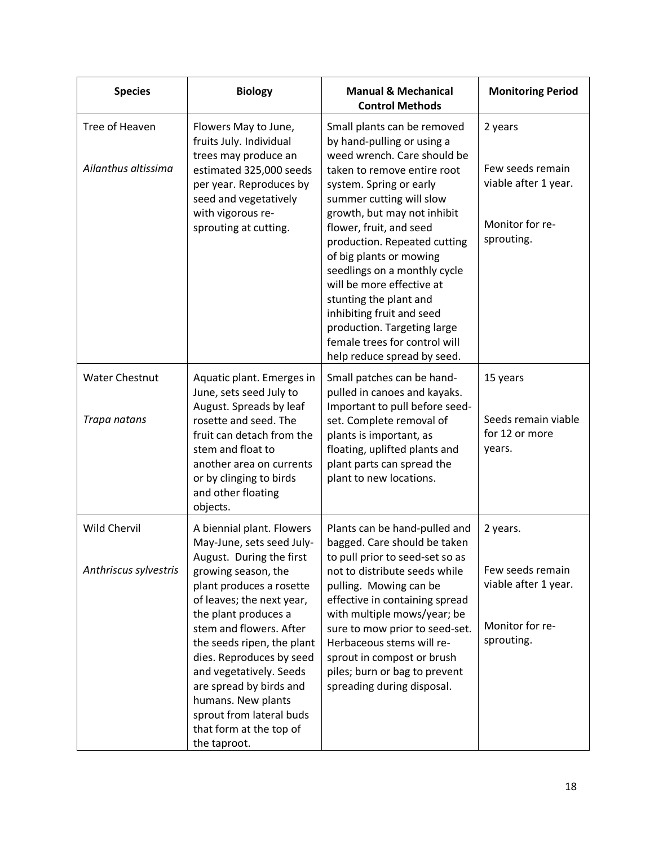| <b>Species</b>                               | <b>Biology</b>                                                                                                                                                                                                                                                                                                                                                                                                                     | <b>Manual &amp; Mechanical</b><br><b>Control Methods</b>                                                                                                                                                                                                                                                                                                                                                                                                                                                               | <b>Monitoring Period</b>                                                              |
|----------------------------------------------|------------------------------------------------------------------------------------------------------------------------------------------------------------------------------------------------------------------------------------------------------------------------------------------------------------------------------------------------------------------------------------------------------------------------------------|------------------------------------------------------------------------------------------------------------------------------------------------------------------------------------------------------------------------------------------------------------------------------------------------------------------------------------------------------------------------------------------------------------------------------------------------------------------------------------------------------------------------|---------------------------------------------------------------------------------------|
| Tree of Heaven<br>Ailanthus altissima        | Flowers May to June,<br>fruits July. Individual<br>trees may produce an<br>estimated 325,000 seeds<br>per year. Reproduces by<br>seed and vegetatively<br>with vigorous re-<br>sprouting at cutting.                                                                                                                                                                                                                               | Small plants can be removed<br>by hand-pulling or using a<br>weed wrench. Care should be<br>taken to remove entire root<br>system. Spring or early<br>summer cutting will slow<br>growth, but may not inhibit<br>flower, fruit, and seed<br>production. Repeated cutting<br>of big plants or mowing<br>seedlings on a monthly cycle<br>will be more effective at<br>stunting the plant and<br>inhibiting fruit and seed<br>production. Targeting large<br>female trees for control will<br>help reduce spread by seed. | 2 years<br>Few seeds remain<br>viable after 1 year.<br>Monitor for re-<br>sprouting.  |
| <b>Water Chestnut</b><br>Trapa natans        | Aquatic plant. Emerges in<br>June, sets seed July to<br>August. Spreads by leaf<br>rosette and seed. The<br>fruit can detach from the<br>stem and float to<br>another area on currents<br>or by clinging to birds<br>and other floating<br>objects.                                                                                                                                                                                | Small patches can be hand-<br>pulled in canoes and kayaks.<br>Important to pull before seed-<br>set. Complete removal of<br>plants is important, as<br>floating, uplifted plants and<br>plant parts can spread the<br>plant to new locations.                                                                                                                                                                                                                                                                          | 15 years<br>Seeds remain viable<br>for 12 or more<br>years.                           |
| <b>Wild Chervil</b><br>Anthriscus sylvestris | A biennial plant. Flowers<br>May-June, sets seed July-<br>August. During the first<br>growing season, the<br>plant produces a rosette<br>of leaves; the next year,<br>the plant produces a<br>stem and flowers. After<br>the seeds ripen, the plant<br>dies. Reproduces by seed<br>and vegetatively. Seeds<br>are spread by birds and<br>humans. New plants<br>sprout from lateral buds<br>that form at the top of<br>the taproot. | Plants can be hand-pulled and<br>bagged. Care should be taken<br>to pull prior to seed-set so as<br>not to distribute seeds while<br>pulling. Mowing can be<br>effective in containing spread<br>with multiple mows/year; be<br>sure to mow prior to seed-set.<br>Herbaceous stems will re-<br>sprout in compost or brush<br>piles; burn or bag to prevent<br>spreading during disposal.                                                                                                                               | 2 years.<br>Few seeds remain<br>viable after 1 year.<br>Monitor for re-<br>sprouting. |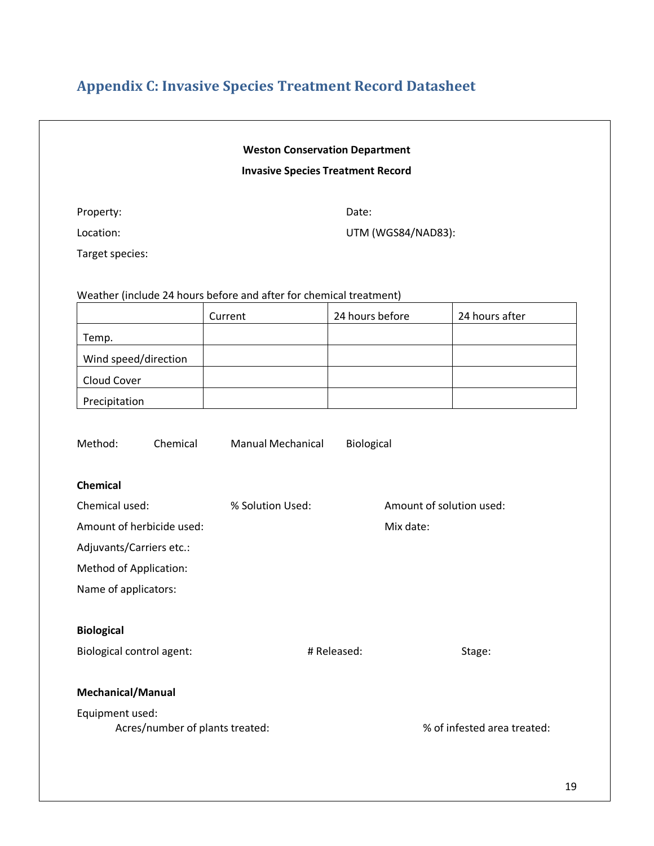## <span id="page-18-0"></span>**Appendix C: Invasive Species Treatment Record Datasheet**

|                                                                            |                  | <b>Weston Conservation Department</b>    |                |
|----------------------------------------------------------------------------|------------------|------------------------------------------|----------------|
|                                                                            |                  | <b>Invasive Species Treatment Record</b> |                |
| Property:                                                                  |                  | Date:                                    |                |
| Location:                                                                  |                  | UTM (WGS84/NAD83):                       |                |
| Target species:                                                            |                  |                                          |                |
| Weather (include 24 hours before and after for chemical treatment)         |                  |                                          |                |
|                                                                            | Current          | 24 hours before                          | 24 hours after |
| Temp.                                                                      |                  |                                          |                |
| Wind speed/direction                                                       |                  |                                          |                |
| Cloud Cover                                                                |                  |                                          |                |
| Precipitation                                                              |                  |                                          |                |
| Chemical                                                                   |                  |                                          |                |
| Chemical used:                                                             | % Solution Used: | Amount of solution used:                 |                |
|                                                                            |                  |                                          |                |
|                                                                            |                  | Mix date:                                |                |
| Amount of herbicide used:<br>Adjuvants/Carriers etc.:                      |                  |                                          |                |
|                                                                            |                  |                                          |                |
|                                                                            |                  |                                          |                |
| <b>Method of Application:</b><br>Name of applicators:<br><b>Biological</b> |                  |                                          |                |
|                                                                            |                  | # Released:                              | Stage:         |
| <b>Biological control agent:</b><br><b>Mechanical/Manual</b>               |                  |                                          |                |